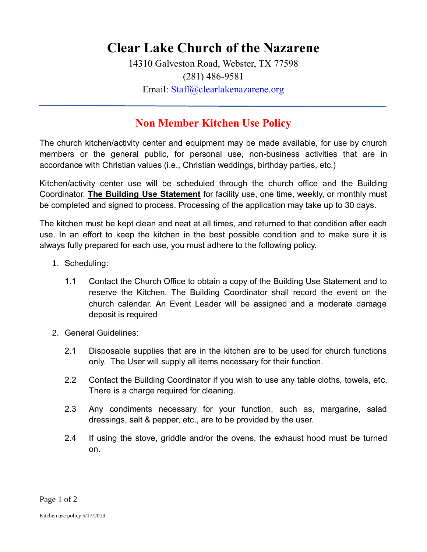## **Clear Lake Church of the Nazarene**

14310 Galveston Road, Webster, TX 77598 (281) 486-9581 Email: [Staff@clearlakenazarene.org](mailto:Staff@clearlakenazarene.org)

## **Non Member Kitchen Use Policy**

The church kitchen/activity center and equipment may be made available, for use by church members or the general public, for personal use, non-business activities that are in accordance with Christian values (i.e., Christian weddings, birthday parties, etc.)

Kitchen/activity center use will be scheduled through the church office and the Building Coordinator. **The Building Use Statement** for facility use, one time, weekly, or monthly must be completed and signed to process. Processing of the application may take up to 30 days.

The kitchen must be kept clean and neat at all times, and returned to that condition after each use. In an effort to keep the kitchen in the best possible condition and to make sure it is always fully prepared for each use, you must adhere to the following policy.

- 1. Scheduling:
	- 1.1 Contact the Church Office to obtain a copy of the Building Use Statement and to reserve the Kitchen. The Building Coordinator shall record the event on the church calendar. An Event Leader will be assigned and a moderate damage deposit is required
- 2. General Guidelines:
	- 2.1 Disposable supplies that are in the kitchen are to be used for church functions only. The User will supply all items necessary for their function.
	- 2.2 Contact the Building Coordinator if you wish to use any table cloths, towels, etc. There is a charge required for cleaning.
	- 2.3 Any condiments necessary for your function, such as, margarine, salad dressings, salt & pepper, etc., are to be provided by the user.
	- 2.4 If using the stove, griddle and/or the ovens, the exhaust hood must be turned on.